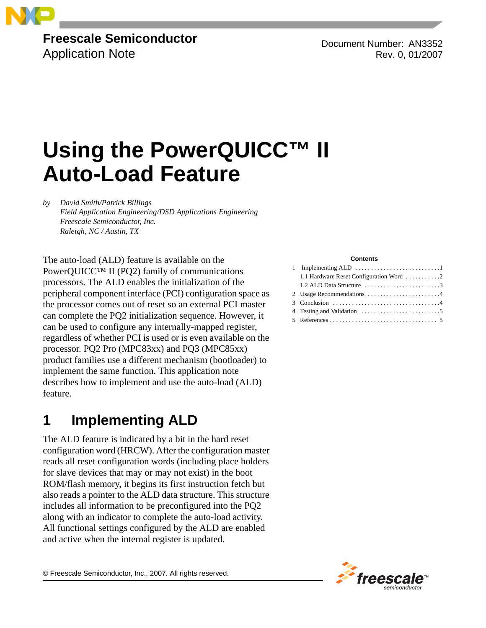

# **Freescale Semiconductor**

Application Note

Document Number: AN3352 Rev. 0, 01/2007

# **Using the PowerQUICC™ II Auto-Load Feature**

*by David Smith/Patrick Billings Field Application Engineering/DSD Applications Engineering Freescale Semiconductor, Inc. Raleigh, NC / Austin, TX*

The auto-load (ALD) feature is available on the PowerQUICC™ II (PQ2) family of communications processors. The ALD enables the initialization of the peripheral component interface (PCI) configuration space as the processor comes out of reset so an external PCI master can complete the PQ2 initialization sequence. However, it can be used to configure any internally-mapped register, regardless of whether PCI is used or is even available on the processor. PQ2 Pro (MPC83xx) and PQ3 (MPC85xx) product families use a different mechanism (bootloader) to implement the same function. This application note describes how to implement and use the auto-load (ALD) feature.

# **1 Implementing ALD**

The ALD feature is indicated by a bit in the hard reset configuration word (HRCW). After the configuration master reads all reset configuration words (including place holders for slave devices that may or may not exist) in the boot ROM/flash memory, it begins its first instruction fetch but also reads a pointer to the ALD data structure. This structure includes all information to be preconfigured into the PQ2 along with an indicator to complete the auto-load activity. All functional settings configured by the ALD are enabled and active when the internal register is updated.

#### **Contents**

| 1 Implementing ALD $\dots \dots \dots \dots \dots \dots \dots \dots \dots$ |
|----------------------------------------------------------------------------|
|                                                                            |
| $1.2$ ALD Data Structure $\dots \dots \dots \dots \dots \dots \dots \dots$ |
| 2 Usage Recommendations 4                                                  |
|                                                                            |
|                                                                            |
|                                                                            |



© Freescale Semiconductor, Inc., 2007. All rights reserved.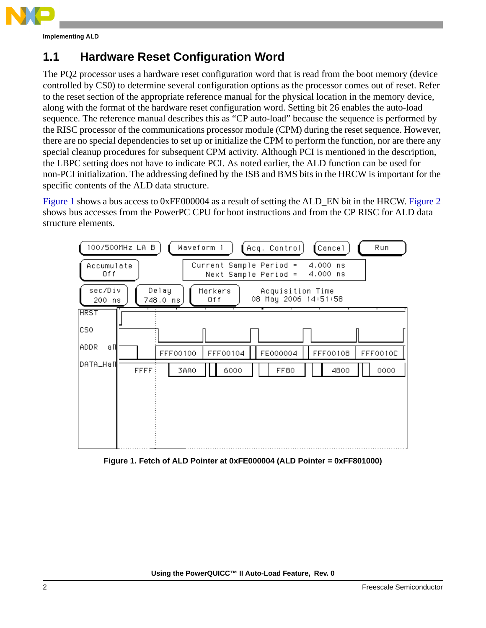

**Implementing ALD** 

### **1.1 Hardware Reset Configuration Word**

The PQ2 processor uses a hardware reset configuration word that is read from the boot memory (device controlled by  $\overline{CS0}$ ) to determine several configuration options as the processor comes out of reset. Refer to the reset section of the appropriate reference manual for the physical location in the memory device, along with the format of the hardware reset configuration word. Setting bit 26 enables the auto-load sequence. The reference manual describes this as "CP auto-load" because the sequence is performed by the RISC processor of the communications processor module (CPM) during the reset sequence. However, there are no special dependencies to set up or initialize the CPM to perform the function, nor are there any special cleanup procedures for subsequent CPM activity. Although PCI is mentioned in the description, the LBPC setting does not have to indicate PCI. As noted earlier, the ALD function can be used for non-PCI initialization. The addressing defined by the ISB and BMS bits in the HRCW is important for the specific contents of the ALD data structure.

Figure 1 shows a bus access to 0xFE000004 as a result of setting the ALD\_EN bit in the HRCW. Figure 2 shows bus accesses from the PowerPC CPU for boot instructions and from the CP RISC for ALD data structure elements.



**Figure 1. Fetch of ALD Pointer at 0xFE000004 (ALD Pointer = 0xFF801000)**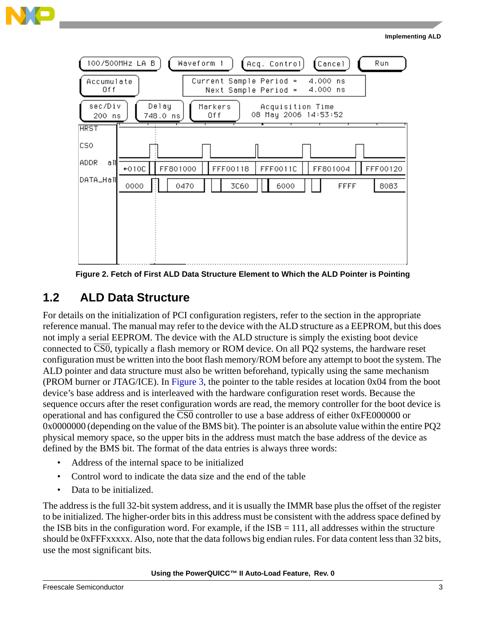



**Figure 2. Fetch of First ALD Data Structure Element to Which the ALD Pointer is Pointing**

### **1.2 ALD Data Structure**

For details on the initialization of PCI configuration registers, refer to the section in the appropriate reference manual. The manual may refer to the device with the ALD structure as a EEPROM, but this does not imply a serial EEPROM. The device with the ALD structure is simply the existing boot device connected to  $\overline{CS0}$ , typically a flash memory or ROM device. On all PQ2 systems, the hardware reset configuration must be written into the boot flash memory/ROM before any attempt to boot the system. The ALD pointer and data structure must also be written beforehand, typically using the same mechanism (PROM burner or JTAG/ICE). In Figure 3, the pointer to the table resides at location 0x04 from the boot device's base address and is interleaved with the hardware configuration reset words. Because the sequence occurs after the reset configuration words are read, the memory controller for the boot device is operational and has configured the  $\overline{CS0}$  controller to use a base address of either 0xFE000000 or 0x0000000 (depending on the value of the BMS bit). The pointer is an absolute value within the entire PQ2 physical memory space, so the upper bits in the address must match the base address of the device as defined by the BMS bit. The format of the data entries is always three words:

- Address of the internal space to be initialized
- Control word to indicate the data size and the end of the table
- Data to be initialized.

The address is the full 32-bit system address, and it is usually the IMMR base plus the offset of the register to be initialized. The higher-order bits in this address must be consistent with the address space defined by the ISB bits in the configuration word. For example, if the  $ISB = 111$ , all addresses within the structure should be 0xFFFxxxxx. Also, note that the data follows big endian rules. For data content less than 32 bits, use the most significant bits.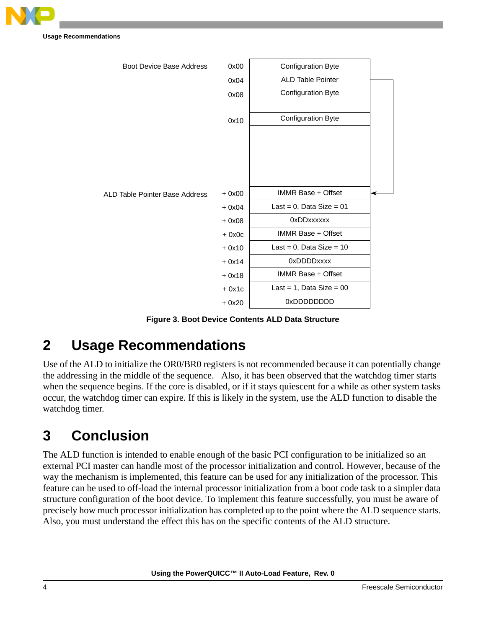

**Usage Recommendations**



**Figure 3. Boot Device Contents ALD Data Structure**

### **2 Usage Recommendations**

Use of the ALD to initialize the OR0/BR0 registers is not recommended because it can potentially change the addressing in the middle of the sequence. Also, it has been observed that the watchdog timer starts when the sequence begins. If the core is disabled, or if it stays quiescent for a while as other system tasks occur, the watchdog timer can expire. If this is likely in the system, use the ALD function to disable the watchdog timer.

## **3 Conclusion**

The ALD function is intended to enable enough of the basic PCI configuration to be initialized so an external PCI master can handle most of the processor initialization and control. However, because of the way the mechanism is implemented, this feature can be used for any initialization of the processor. This feature can be used to off-load the internal processor initialization from a boot code task to a simpler data structure configuration of the boot device. To implement this feature successfully, you must be aware of precisely how much processor initialization has completed up to the point where the ALD sequence starts. Also, you must understand the effect this has on the specific contents of the ALD structure.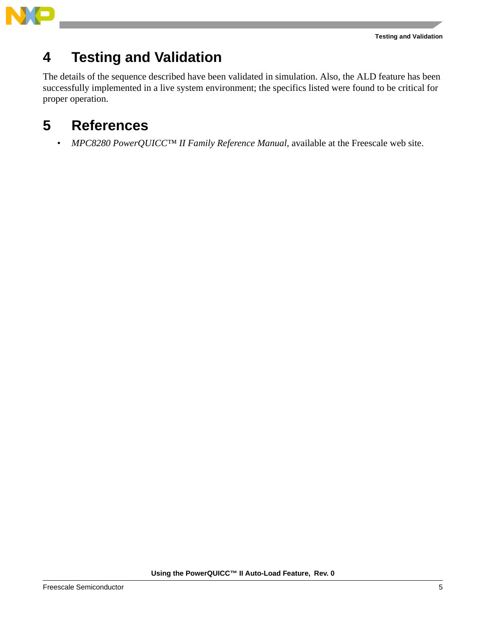



### **4 Testing and Validation**

The details of the sequence described have been validated in simulation. Also, the ALD feature has been successfully implemented in a live system environment; the specifics listed were found to be critical for proper operation.

### **5 References**

• *MPC8280 PowerQUICCTM II Family Reference Manual*, available at the Freescale web site.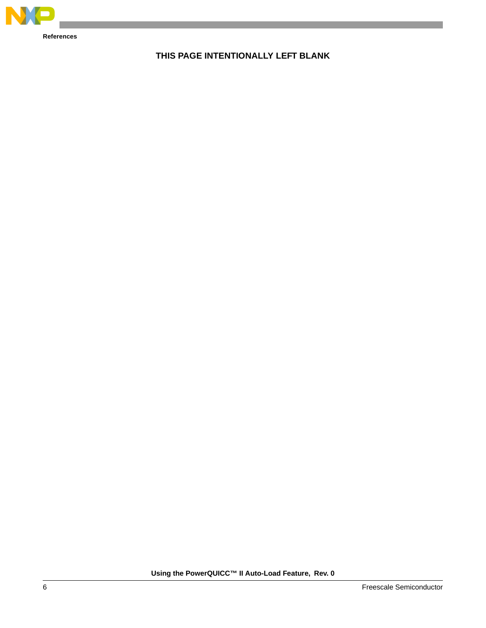

**References**

### **THIS PAGE INTENTIONALLY LEFT BLANK**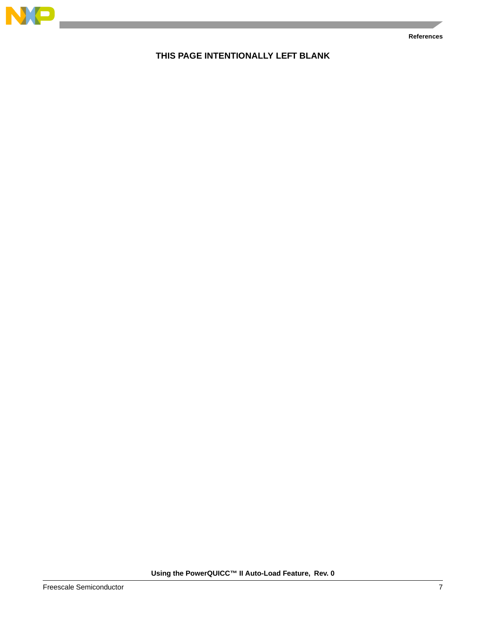

 $\overline{\phantom{a}}$ 

### **THIS PAGE INTENTIONALLY LEFT BLANK**